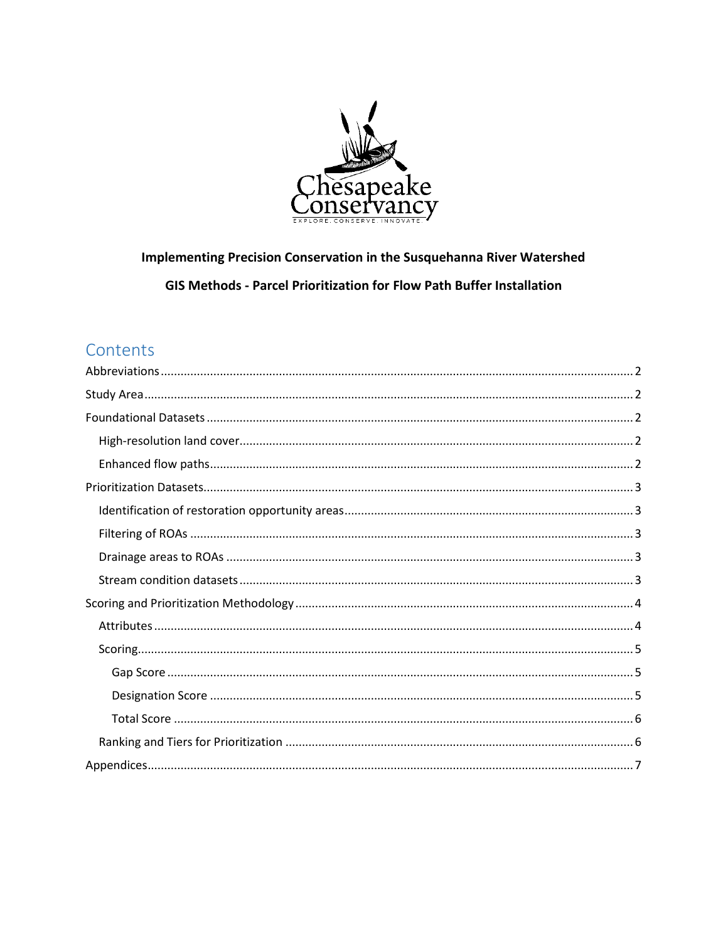

# Implementing Precision Conservation in the Susquehanna River Watershed GIS Methods - Parcel Prioritization for Flow Path Buffer Installation

## Contents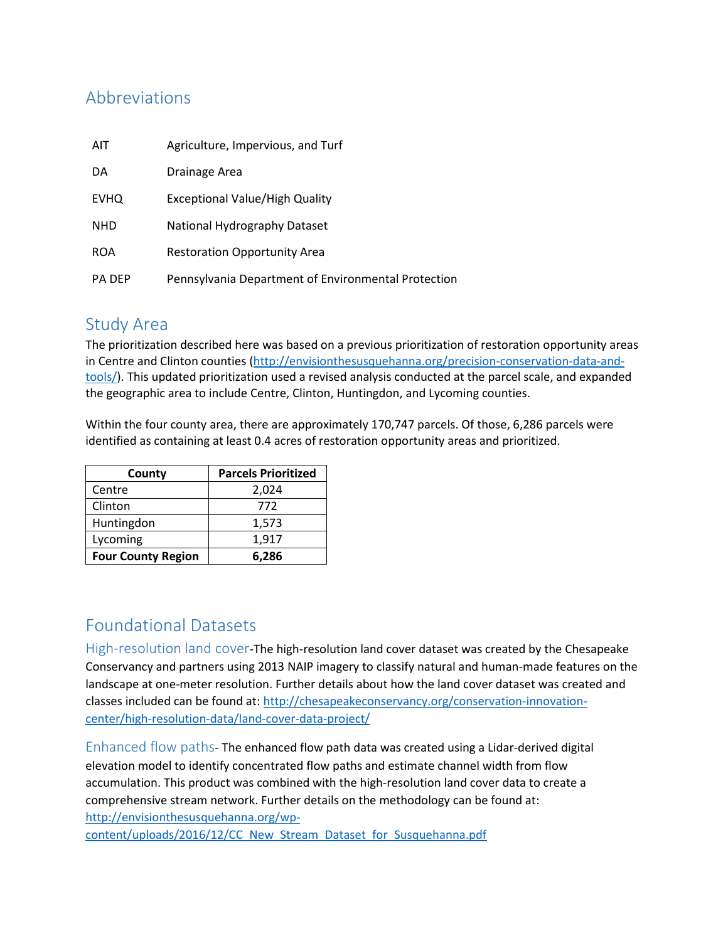# <span id="page-1-0"></span>Abbreviations

| <b>AIT</b>    | Agriculture, Impervious, and Turf                   |
|---------------|-----------------------------------------------------|
| DA            | Drainage Area                                       |
| <b>EVHQ</b>   | <b>Exceptional Value/High Quality</b>               |
| <b>NHD</b>    | National Hydrography Dataset                        |
| <b>ROA</b>    | <b>Restoration Opportunity Area</b>                 |
| <b>PA DEP</b> | Pennsylvania Department of Environmental Protection |

### <span id="page-1-1"></span>Study Area

The prioritization described here was based on a previous prioritization of restoration opportunity areas in Centre and Clinton counties [\(http://envisionthesusquehanna.org/precision-conservation-data-and](http://envisionthesusquehanna.org/precision-conservation-data-and-tools/)[tools/\)](http://envisionthesusquehanna.org/precision-conservation-data-and-tools/). This updated prioritization used a revised analysis conducted at the parcel scale, and expanded the geographic area to include Centre, Clinton, Huntingdon, and Lycoming counties.

Within the four county area, there are approximately 170,747 parcels. Of those, 6,286 parcels were identified as containing at least 0.4 acres of restoration opportunity areas and prioritized.

| County                    | <b>Parcels Prioritized</b> |
|---------------------------|----------------------------|
| Centre                    | 2,024                      |
| Clinton                   | 772                        |
| Huntingdon                | 1,573                      |
| Lycoming                  | 1,917                      |
| <b>Four County Region</b> | 6,286                      |

## <span id="page-1-2"></span>Foundational Datasets

<span id="page-1-3"></span>High-resolution land cover-The high-resolution land cover dataset was created by the Chesapeake Conservancy and partners using 2013 NAIP imagery to classify natural and human-made features on the landscape at one-meter resolution. Further details about how the land cover dataset was created and classes included can be found at: [http://chesapeakeconservancy.org/conservation-innovation](http://chesapeakeconservancy.org/conservation-innovation-center/high-resolution-data/land-cover-data-project/)[center/high-resolution-data/land-cover-data-project/](http://chesapeakeconservancy.org/conservation-innovation-center/high-resolution-data/land-cover-data-project/)

<span id="page-1-4"></span>Enhanced flow paths- The enhanced flow path data was created using a Lidar-derived digital elevation model to identify concentrated flow paths and estimate channel width from flow accumulation. This product was combined with the high-resolution land cover data to create a comprehensive stream network. Further details on the methodology can be found at: [http://envisionthesusquehanna.org/wp-](http://envisionthesusquehanna.org/wp-content/uploads/2016/12/CC_New_Stream_Dataset_for_Susquehanna.pdf)

[content/uploads/2016/12/CC\\_New\\_Stream\\_Dataset\\_for\\_Susquehanna.pdf](http://envisionthesusquehanna.org/wp-content/uploads/2016/12/CC_New_Stream_Dataset_for_Susquehanna.pdf)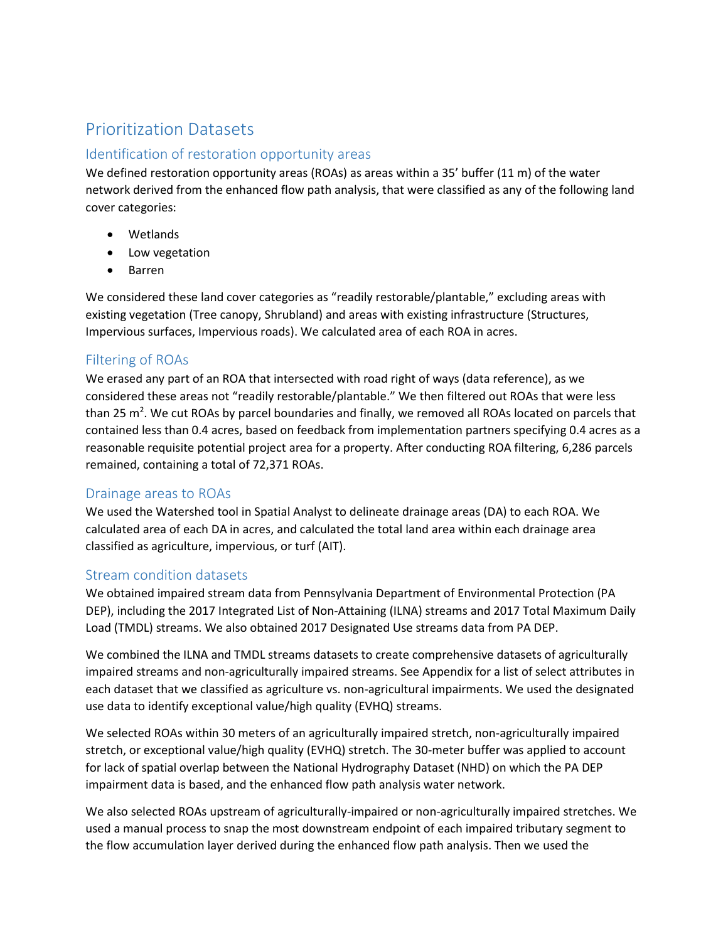# <span id="page-2-0"></span>Prioritization Datasets

### <span id="page-2-1"></span>Identification of restoration opportunity areas

We defined restoration opportunity areas (ROAs) as areas within a 35' buffer (11 m) of the water network derived from the enhanced flow path analysis, that were classified as any of the following land cover categories:

- Wetlands
- Low vegetation
- Barren

We considered these land cover categories as "readily restorable/plantable," excluding areas with existing vegetation (Tree canopy, Shrubland) and areas with existing infrastructure (Structures, Impervious surfaces, Impervious roads). We calculated area of each ROA in acres.

### <span id="page-2-2"></span>Filtering of ROAs

We erased any part of an ROA that intersected with road right of ways (data reference), as we considered these areas not "readily restorable/plantable." We then filtered out ROAs that were less than 25 m<sup>2</sup>. We cut ROAs by parcel boundaries and finally, we removed all ROAs located on parcels that contained less than 0.4 acres, based on feedback from implementation partners specifying 0.4 acres as a reasonable requisite potential project area for a property. After conducting ROA filtering, 6,286 parcels remained, containing a total of 72,371 ROAs.

### <span id="page-2-3"></span>Drainage areas to ROAs

We used the Watershed tool in Spatial Analyst to delineate drainage areas (DA) to each ROA. We calculated area of each DA in acres, and calculated the total land area within each drainage area classified as agriculture, impervious, or turf (AIT).

### <span id="page-2-4"></span>Stream condition datasets

We obtained impaired stream data from Pennsylvania Department of Environmental Protection (PA DEP), including the 2017 Integrated List of Non-Attaining (ILNA) streams and 2017 Total Maximum Daily Load (TMDL) streams. We also obtained 2017 Designated Use streams data from PA DEP.

We combined the ILNA and TMDL streams datasets to create comprehensive datasets of agriculturally impaired streams and non-agriculturally impaired streams. See Appendix for a list of select attributes in each dataset that we classified as agriculture vs. non-agricultural impairments. We used the designated use data to identify exceptional value/high quality (EVHQ) streams.

We selected ROAs within 30 meters of an agriculturally impaired stretch, non-agriculturally impaired stretch, or exceptional value/high quality (EVHQ) stretch. The 30-meter buffer was applied to account for lack of spatial overlap between the National Hydrography Dataset (NHD) on which the PA DEP impairment data is based, and the enhanced flow path analysis water network.

We also selected ROAs upstream of agriculturally-impaired or non-agriculturally impaired stretches. We used a manual process to snap the most downstream endpoint of each impaired tributary segment to the flow accumulation layer derived during the enhanced flow path analysis. Then we used the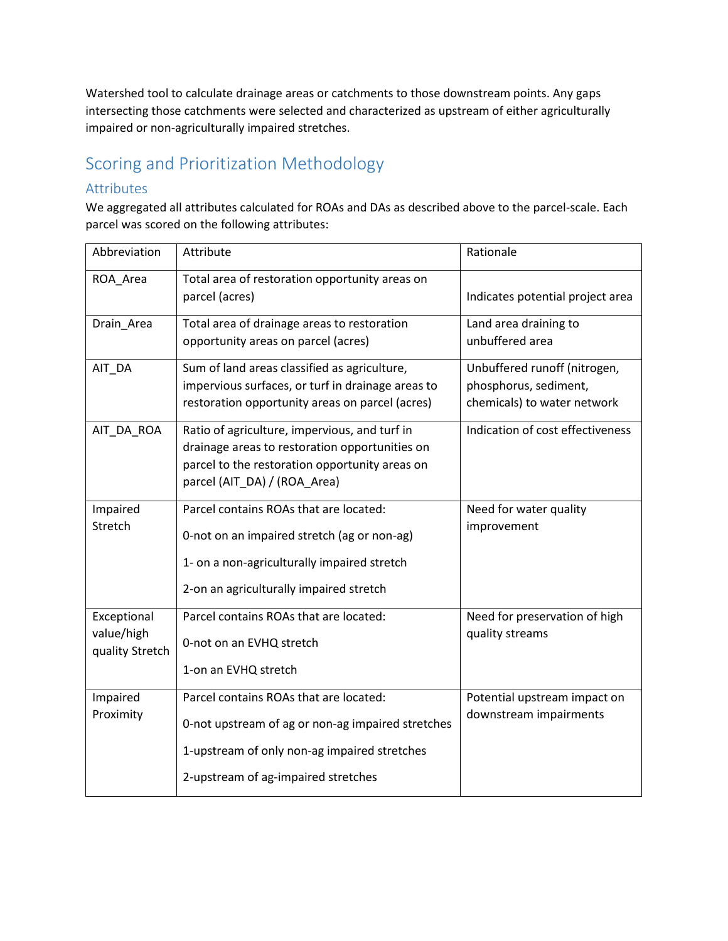Watershed tool to calculate drainage areas or catchments to those downstream points. Any gaps intersecting those catchments were selected and characterized as upstream of either agriculturally impaired or non-agriculturally impaired stretches.

# <span id="page-3-0"></span>Scoring and Prioritization Methodology

### <span id="page-3-1"></span>Attributes

We aggregated all attributes calculated for ROAs and DAs as described above to the parcel-scale. Each parcel was scored on the following attributes:

| Abbreviation                                 | Attribute                                                                                                                                                                          | Rationale                                                                            |  |
|----------------------------------------------|------------------------------------------------------------------------------------------------------------------------------------------------------------------------------------|--------------------------------------------------------------------------------------|--|
| ROA_Area                                     | Total area of restoration opportunity areas on<br>parcel (acres)                                                                                                                   | Indicates potential project area                                                     |  |
| Drain_Area                                   | Total area of drainage areas to restoration<br>opportunity areas on parcel (acres)                                                                                                 | Land area draining to<br>unbuffered area                                             |  |
| AIT_DA                                       | Sum of land areas classified as agriculture,<br>impervious surfaces, or turf in drainage areas to<br>restoration opportunity areas on parcel (acres)                               | Unbuffered runoff (nitrogen,<br>phosphorus, sediment,<br>chemicals) to water network |  |
| AIT_DA_ROA                                   | Ratio of agriculture, impervious, and turf in<br>drainage areas to restoration opportunities on<br>parcel to the restoration opportunity areas on<br>parcel (AIT_DA) / (ROA_Area)  | Indication of cost effectiveness                                                     |  |
| Impaired<br>Stretch                          | Parcel contains ROAs that are located:<br>0-not on an impaired stretch (ag or non-ag)<br>1- on a non-agriculturally impaired stretch<br>2-on an agriculturally impaired stretch    | Need for water quality<br>improvement                                                |  |
| Exceptional<br>value/high<br>quality Stretch | Parcel contains ROAs that are located:<br>0-not on an EVHQ stretch<br>1-on an EVHQ stretch                                                                                         | Need for preservation of high<br>quality streams                                     |  |
| Impaired<br>Proximity                        | Parcel contains ROAs that are located:<br>0-not upstream of ag or non-ag impaired stretches<br>1-upstream of only non-ag impaired stretches<br>2-upstream of ag-impaired stretches | Potential upstream impact on<br>downstream impairments                               |  |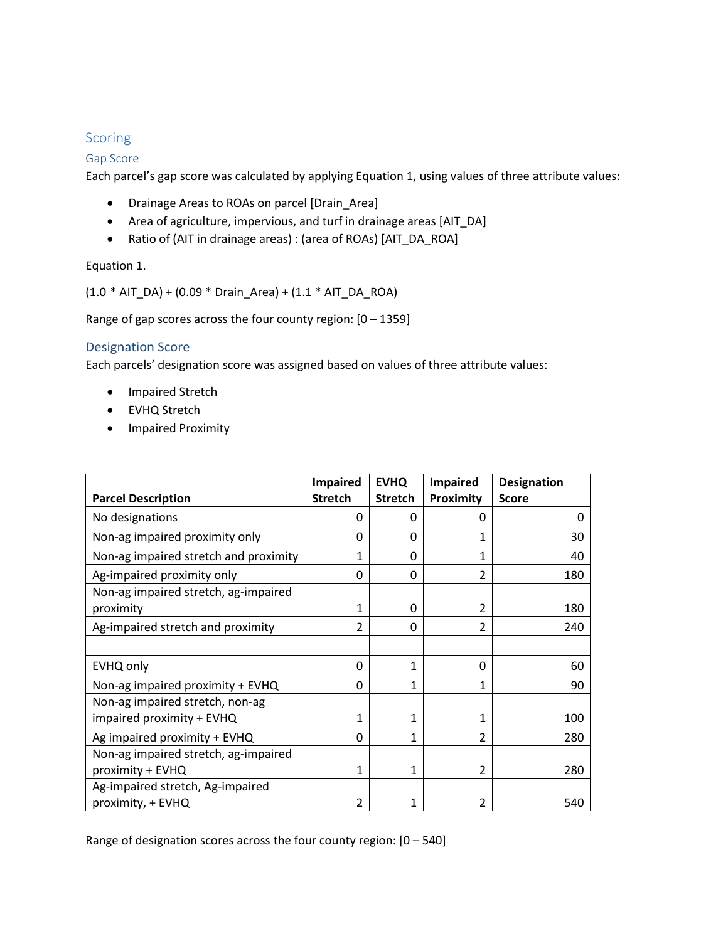### <span id="page-4-0"></span>Scoring

#### <span id="page-4-1"></span>Gap Score

Each parcel's gap score was calculated by applying Equation 1, using values of three attribute values:

- Drainage Areas to ROAs on parcel [Drain\_Area]
- Area of agriculture, impervious, and turf in drainage areas [AIT\_DA]
- Ratio of (AIT in drainage areas) : (area of ROAs) [AIT\_DA\_ROA]

Equation 1.

(1.0 \* AIT\_DA) + (0.09 \* Drain\_Area) + (1.1 \* AIT\_DA\_ROA)

Range of gap scores across the four county region:  $[0 - 1359]$ 

#### <span id="page-4-2"></span>Designation Score

Each parcels' designation score was assigned based on values of three attribute values:

- Impaired Stretch
- EVHQ Stretch
- Impaired Proximity

|                                       | <b>Impaired</b> | <b>EVHQ</b>    | <b>Impaired</b>          | <b>Designation</b> |
|---------------------------------------|-----------------|----------------|--------------------------|--------------------|
| <b>Parcel Description</b>             | <b>Stretch</b>  | <b>Stretch</b> | Proximity                | <b>Score</b>       |
| No designations                       | 0               | 0              | 0                        | 0                  |
| Non-ag impaired proximity only        | 0               | 0              | 1                        | 30                 |
| Non-ag impaired stretch and proximity | 1               | 0              | 1                        | 40                 |
| Ag-impaired proximity only            | 0               | 0              | $\overline{\phantom{a}}$ | 180                |
| Non-ag impaired stretch, ag-impaired  |                 |                |                          |                    |
| proximity                             | $\mathbf{1}$    | 0              | 2                        | 180                |
| Ag-impaired stretch and proximity     | $\overline{2}$  | 0              | $\overline{\mathcal{L}}$ | 240                |
|                                       |                 |                |                          |                    |
| EVHQ only                             | 0               | 1              | 0                        | 60                 |
| Non-ag impaired proximity + EVHQ      | 0               | 1              | 1                        | 90                 |
| Non-ag impaired stretch, non-ag       |                 |                |                          |                    |
| impaired proximity + EVHQ             | 1               | 1              | 1                        | 100                |
| Ag impaired proximity + EVHQ          | 0               | 1              | $\overline{\phantom{a}}$ | 280                |
| Non-ag impaired stretch, ag-impaired  |                 |                |                          |                    |
| proximity + EVHQ                      | $\mathbf{1}$    | 1              | 2                        | 280                |
| Ag-impaired stretch, Ag-impaired      |                 |                |                          |                    |
| proximity, + EVHQ                     | $\overline{2}$  | 1              | $\overline{\phantom{a}}$ | 540                |

Range of designation scores across the four county region:  $[0 - 540]$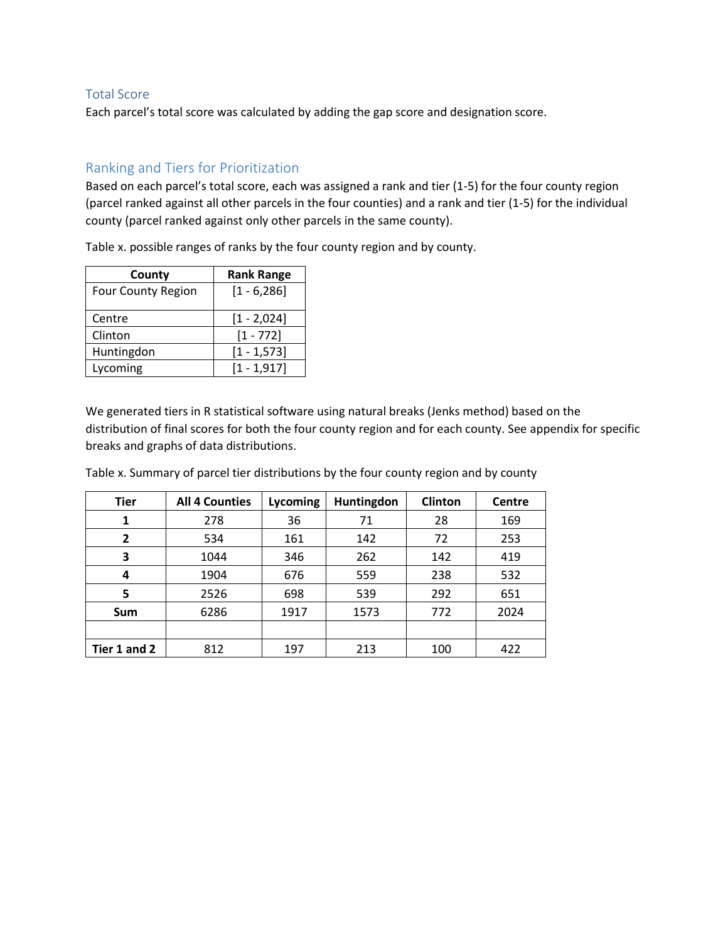#### <span id="page-5-0"></span>Total Score

Each parcel's total score was calculated by adding the gap score and designation score.

### <span id="page-5-1"></span>Ranking and Tiers for Prioritization

Based on each parcel's total score, each was assigned a rank and tier (1-5) for the four county region (parcel ranked against all other parcels in the four counties) and a rank and tier (1-5) for the individual county (parcel ranked against only other parcels in the same county).

Table x. possible ranges of ranks by the four county region and by county.

| County                    | <b>Rank Range</b> |  |
|---------------------------|-------------------|--|
| <b>Four County Region</b> | $[1 - 6, 286]$    |  |
| Centre                    | $[1 - 2, 024]$    |  |
| Clinton                   | $[1 - 772]$       |  |
| Huntingdon                | $[1 - 1, 573]$    |  |
| Lycoming                  | $[1 - 1, 917]$    |  |

We generated tiers in R statistical software using natural breaks (Jenks method) based on the distribution of final scores for both the four county region and for each county. See appendix for specific breaks and graphs of data distributions.

| <b>Tier</b>  | <b>All 4 Counties</b> | Lycoming | Huntingdon | Clinton | <b>Centre</b> |
|--------------|-----------------------|----------|------------|---------|---------------|
| 1            | 278                   | 36       | 71         | 28      | 169           |
| 2            | 534                   | 161      | 142        | 72      | 253           |
| 3            | 1044                  | 346      | 262        | 142     | 419           |
| 4            | 1904                  | 676      | 559        | 238     | 532           |
| 5            | 2526                  | 698      | 539        | 292     | 651           |
| <b>Sum</b>   | 6286                  | 1917     | 1573       | 772     | 2024          |
|              |                       |          |            |         |               |
| Tier 1 and 2 | 812                   | 197      | 213        | 100     | 422           |

Table x. Summary of parcel tier distributions by the four county region and by county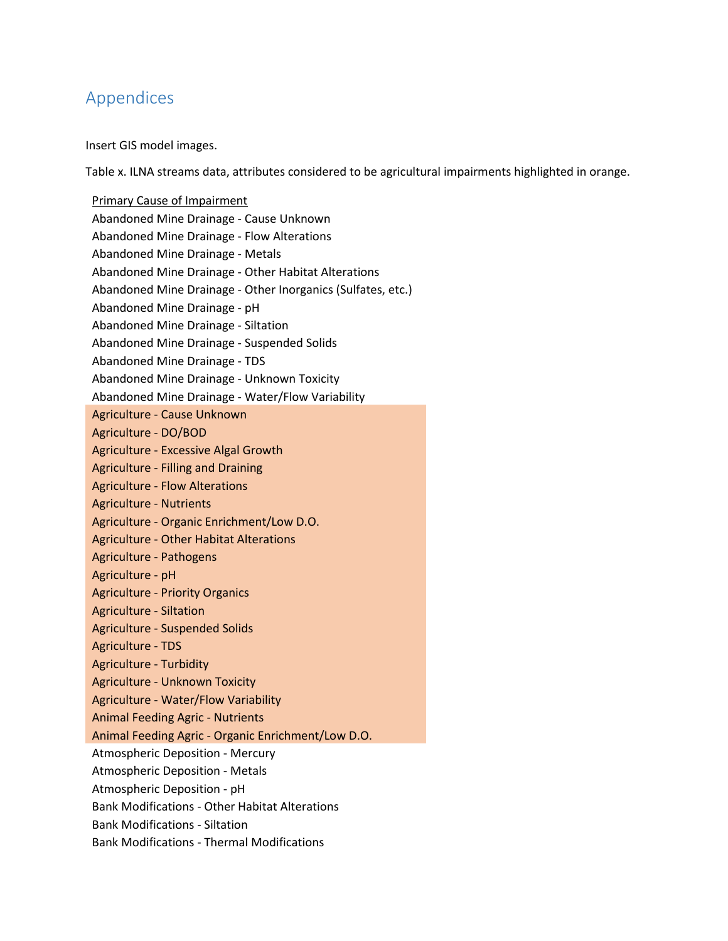## <span id="page-6-0"></span>Appendices

Insert GIS model images.

Table x. ILNA streams data, attributes considered to be agricultural impairments highlighted in orange.

Primary Cause of Impairment Abandoned Mine Drainage - Cause Unknown Abandoned Mine Drainage - Flow Alterations Abandoned Mine Drainage - Metals Abandoned Mine Drainage - Other Habitat Alterations Abandoned Mine Drainage - Other Inorganics (Sulfates, etc.) Abandoned Mine Drainage - pH Abandoned Mine Drainage - Siltation Abandoned Mine Drainage - Suspended Solids Abandoned Mine Drainage - TDS Abandoned Mine Drainage - Unknown Toxicity Abandoned Mine Drainage - Water/Flow Variability Agriculture - Cause Unknown Agriculture - DO/BOD Agriculture - Excessive Algal Growth Agriculture - Filling and Draining Agriculture - Flow Alterations Agriculture - Nutrients Agriculture - Organic Enrichment/Low D.O. Agriculture - Other Habitat Alterations Agriculture - Pathogens Agriculture - pH Agriculture - Priority Organics Agriculture - Siltation Agriculture - Suspended Solids Agriculture - TDS Agriculture - Turbidity Agriculture - Unknown Toxicity Agriculture - Water/Flow Variability Animal Feeding Agric - Nutrients Animal Feeding Agric - Organic Enrichment/Low D.O. Atmospheric Deposition - Mercury Atmospheric Deposition - Metals Atmospheric Deposition - pH Bank Modifications - Other Habitat Alterations Bank Modifications - Siltation Bank Modifications - Thermal Modifications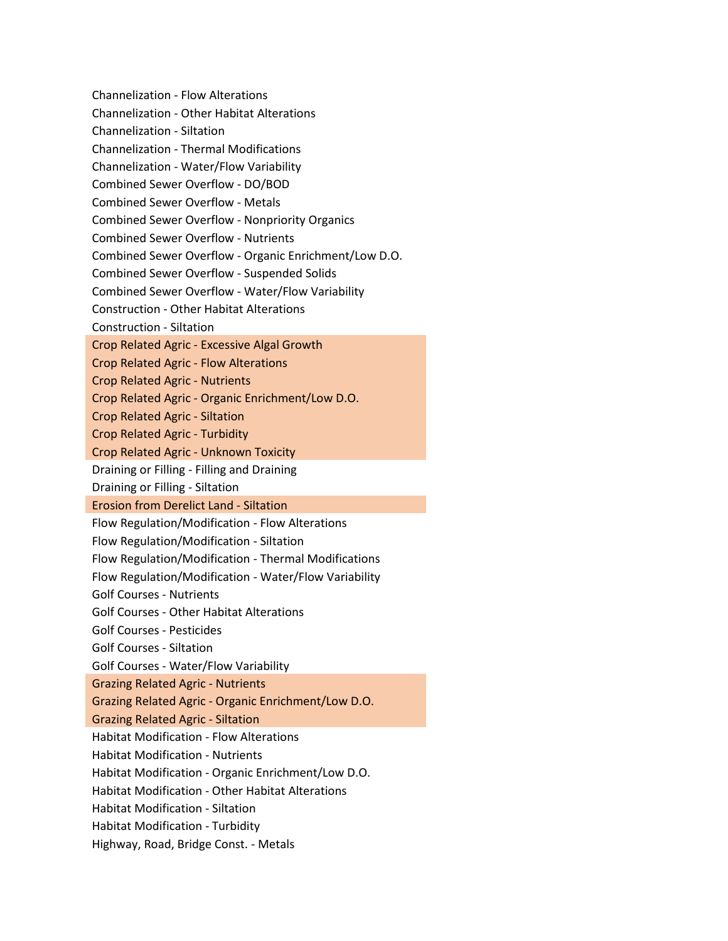Channelization - Flow Alterations Channelization - Other Habitat Alterations Channelization - Siltation Channelization - Thermal Modifications Channelization - Water/Flow Variability Combined Sewer Overflow - DO/BOD Combined Sewer Overflow - Metals Combined Sewer Overflow - Nonpriority Organics Combined Sewer Overflow - Nutrients Combined Sewer Overflow - Organic Enrichment/Low D.O. Combined Sewer Overflow - Suspended Solids Combined Sewer Overflow - Water/Flow Variability Construction - Other Habitat Alterations Construction - Siltation Crop Related Agric - Excessive Algal Growth Crop Related Agric - Flow Alterations Crop Related Agric - Nutrients Crop Related Agric - Organic Enrichment/Low D.O. Crop Related Agric - Siltation Crop Related Agric - Turbidity Crop Related Agric - Unknown Toxicity Draining or Filling - Filling and Draining Draining or Filling - Siltation Erosion from Derelict Land - Siltation Flow Regulation/Modification - Flow Alterations Flow Regulation/Modification - Siltation Flow Regulation/Modification - Thermal Modifications Flow Regulation/Modification - Water/Flow Variability Golf Courses - Nutrients Golf Courses - Other Habitat Alterations Golf Courses - Pesticides Golf Courses - Siltation Golf Courses - Water/Flow Variability Grazing Related Agric - Nutrients Grazing Related Agric - Organic Enrichment/Low D.O. Grazing Related Agric - Siltation Habitat Modification - Flow Alterations Habitat Modification - Nutrients Habitat Modification - Organic Enrichment/Low D.O. Habitat Modification - Other Habitat Alterations Habitat Modification - Siltation Habitat Modification - Turbidity Highway, Road, Bridge Const. - Metals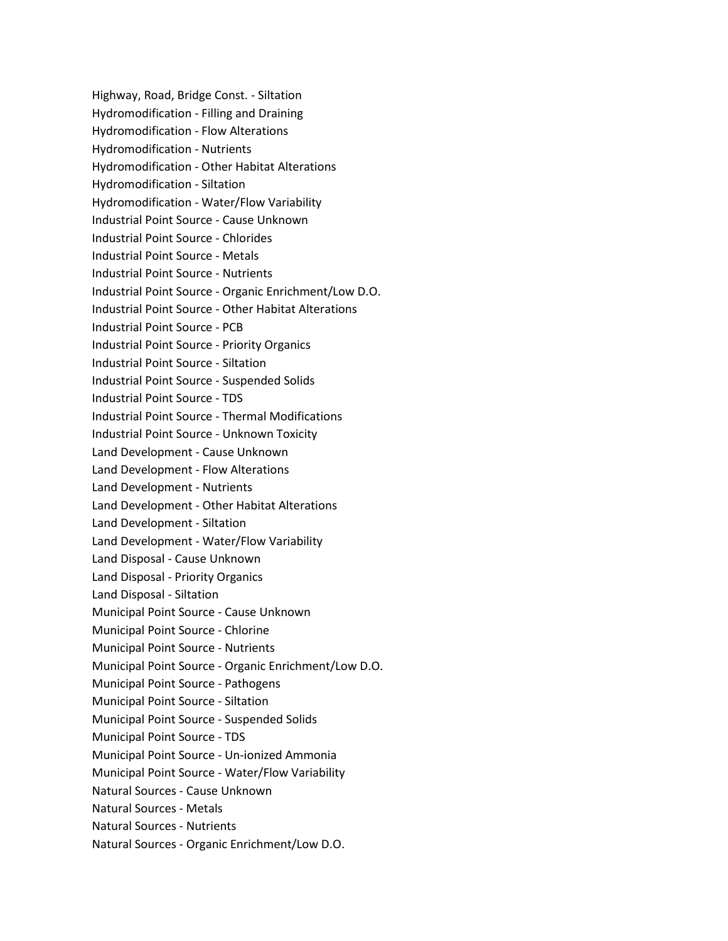Highway, Road, Bridge Const. - Siltation Hydromodification - Filling and Draining Hydromodification - Flow Alterations Hydromodification - Nutrients Hydromodification - Other Habitat Alterations Hydromodification - Siltation Hydromodification - Water/Flow Variability Industrial Point Source - Cause Unknown Industrial Point Source - Chlorides Industrial Point Source - Metals Industrial Point Source - Nutrients Industrial Point Source - Organic Enrichment/Low D.O. Industrial Point Source - Other Habitat Alterations Industrial Point Source - PCB Industrial Point Source - Priority Organics Industrial Point Source - Siltation Industrial Point Source - Suspended Solids Industrial Point Source - TDS Industrial Point Source - Thermal Modifications Industrial Point Source - Unknown Toxicity Land Development - Cause Unknown Land Development - Flow Alterations Land Development - Nutrients Land Development - Other Habitat Alterations Land Development - Siltation Land Development - Water/Flow Variability Land Disposal - Cause Unknown Land Disposal - Priority Organics Land Disposal - Siltation Municipal Point Source - Cause Unknown Municipal Point Source - Chlorine Municipal Point Source - Nutrients Municipal Point Source - Organic Enrichment/Low D.O. Municipal Point Source - Pathogens Municipal Point Source - Siltation Municipal Point Source - Suspended Solids Municipal Point Source - TDS Municipal Point Source - Un-ionized Ammonia Municipal Point Source - Water/Flow Variability Natural Sources - Cause Unknown Natural Sources - Metals Natural Sources - Nutrients Natural Sources - Organic Enrichment/Low D.O.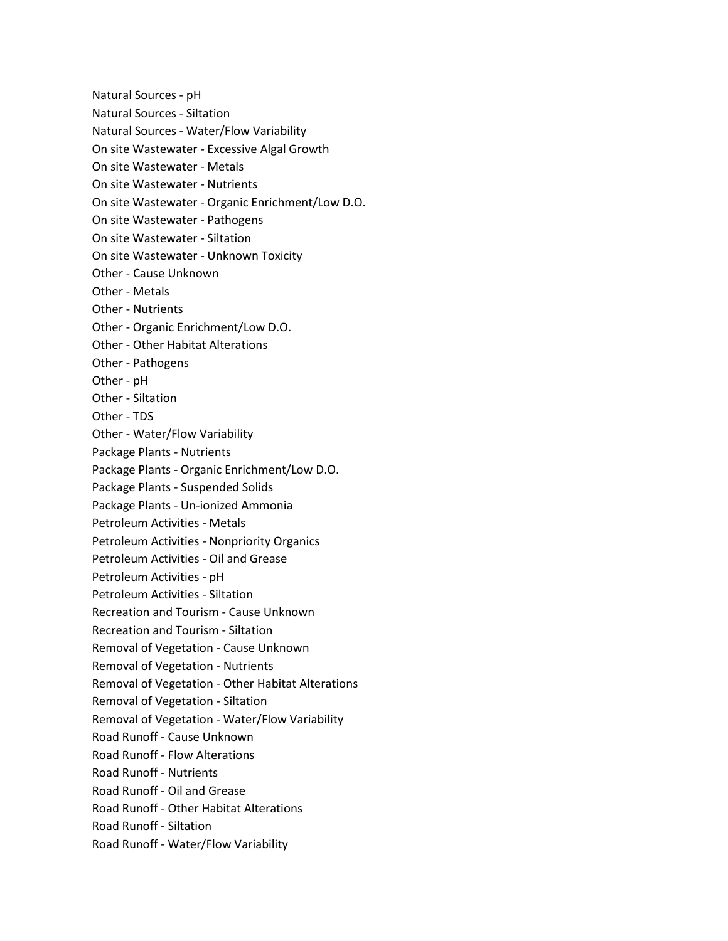Natural Sources - pH

- Natural Sources Siltation
- Natural Sources Water/Flow Variability
- On site Wastewater Excessive Algal Growth
- On site Wastewater Metals
- On site Wastewater Nutrients
- On site Wastewater Organic Enrichment/Low D.O.
- On site Wastewater Pathogens
- On site Wastewater Siltation
- On site Wastewater Unknown Toxicity
- Other Cause Unknown
- Other Metals
- Other Nutrients
- Other Organic Enrichment/Low D.O.
- Other Other Habitat Alterations
- Other Pathogens
- Other pH
- Other Siltation
- Other TDS
- Other Water/Flow Variability
- Package Plants Nutrients
- Package Plants Organic Enrichment/Low D.O.
- Package Plants Suspended Solids
- Package Plants Un-ionized Ammonia
- Petroleum Activities Metals
- Petroleum Activities Nonpriority Organics
- Petroleum Activities Oil and Grease
- Petroleum Activities pH
- Petroleum Activities Siltation
- Recreation and Tourism Cause Unknown
- Recreation and Tourism Siltation
- Removal of Vegetation Cause Unknown
- Removal of Vegetation Nutrients
- Removal of Vegetation Other Habitat Alterations
- Removal of Vegetation Siltation
- Removal of Vegetation Water/Flow Variability
- Road Runoff Cause Unknown
- Road Runoff Flow Alterations
- Road Runoff Nutrients
- Road Runoff Oil and Grease
- Road Runoff Other Habitat Alterations
- Road Runoff Siltation
- Road Runoff Water/Flow Variability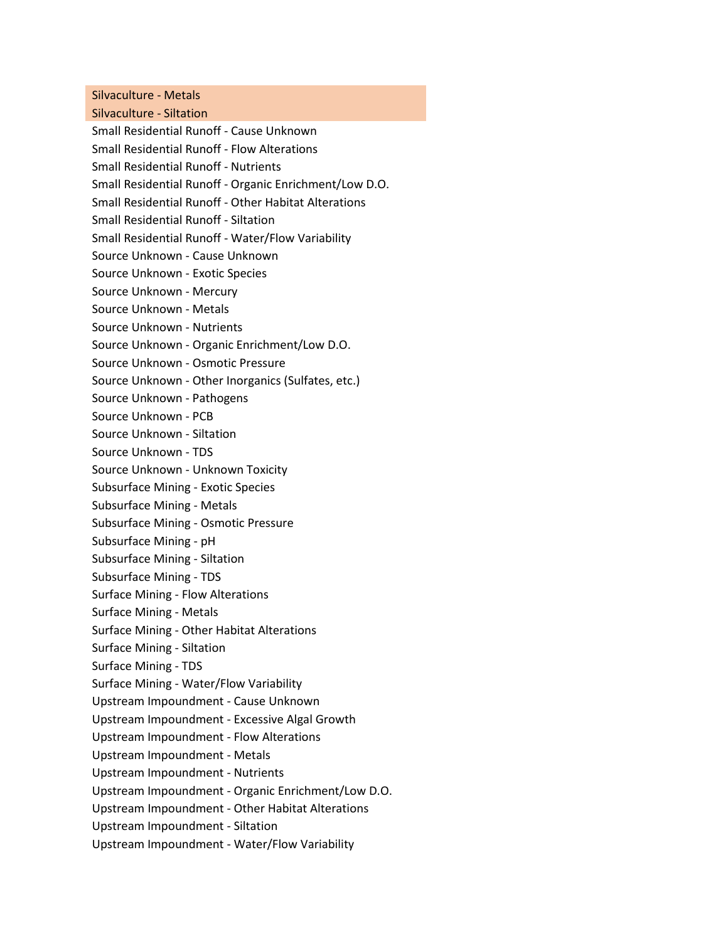Silvaculture - Metals

Silvaculture - Siltation Small Residential Runoff - Cause Unknown Small Residential Runoff - Flow Alterations Small Residential Runoff - Nutrients Small Residential Runoff - Organic Enrichment/Low D.O. Small Residential Runoff - Other Habitat Alterations Small Residential Runoff - Siltation Small Residential Runoff - Water/Flow Variability Source Unknown - Cause Unknown Source Unknown - Exotic Species Source Unknown - Mercury Source Unknown - Metals Source Unknown - Nutrients Source Unknown - Organic Enrichment/Low D.O. Source Unknown - Osmotic Pressure Source Unknown - Other Inorganics (Sulfates, etc.) Source Unknown - Pathogens Source Unknown - PCB Source Unknown - Siltation Source Unknown - TDS Source Unknown - Unknown Toxicity Subsurface Mining - Exotic Species Subsurface Mining - Metals Subsurface Mining - Osmotic Pressure Subsurface Mining - pH Subsurface Mining - Siltation Subsurface Mining - TDS Surface Mining - Flow Alterations Surface Mining - Metals Surface Mining - Other Habitat Alterations Surface Mining - Siltation Surface Mining - TDS Surface Mining - Water/Flow Variability Upstream Impoundment - Cause Unknown Upstream Impoundment - Excessive Algal Growth Upstream Impoundment - Flow Alterations Upstream Impoundment - Metals Upstream Impoundment - Nutrients Upstream Impoundment - Organic Enrichment/Low D.O. Upstream Impoundment - Other Habitat Alterations Upstream Impoundment - Siltation

Upstream Impoundment - Water/Flow Variability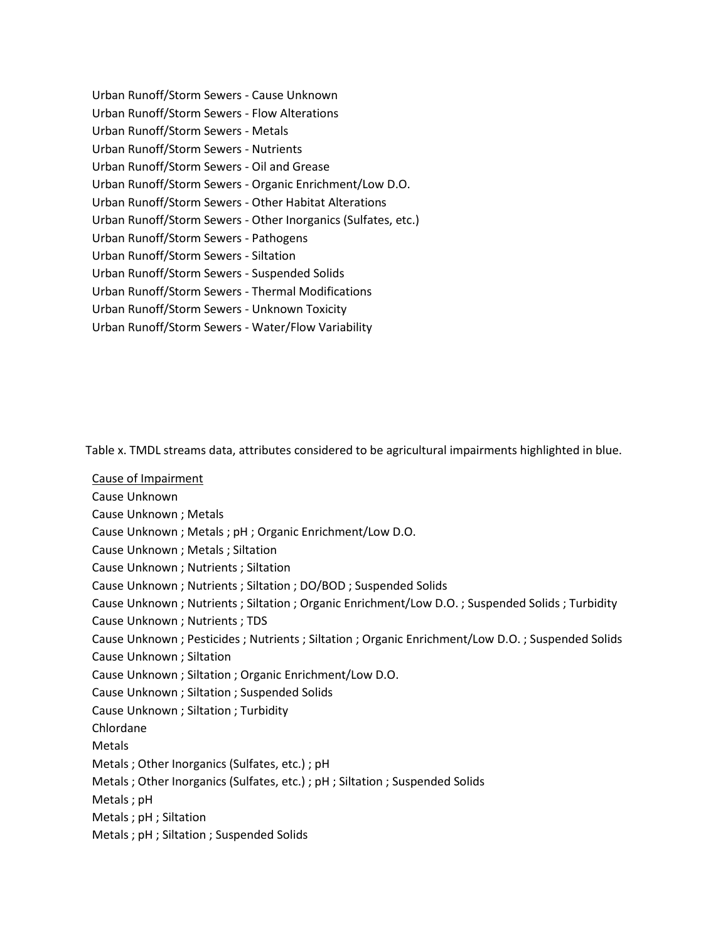Urban Runoff/Storm Sewers - Cause Unknown Urban Runoff/Storm Sewers - Flow Alterations Urban Runoff/Storm Sewers - Metals Urban Runoff/Storm Sewers - Nutrients Urban Runoff/Storm Sewers - Oil and Grease Urban Runoff/Storm Sewers - Organic Enrichment/Low D.O. Urban Runoff/Storm Sewers - Other Habitat Alterations Urban Runoff/Storm Sewers - Other Inorganics (Sulfates, etc.) Urban Runoff/Storm Sewers - Pathogens Urban Runoff/Storm Sewers - Siltation Urban Runoff/Storm Sewers - Suspended Solids Urban Runoff/Storm Sewers - Thermal Modifications Urban Runoff/Storm Sewers - Unknown Toxicity Urban Runoff/Storm Sewers - Water/Flow Variability

Table x. TMDL streams data, attributes considered to be agricultural impairments highlighted in blue.

Cause of Impairment Cause Unknown Cause Unknown ; Metals Cause Unknown ; Metals ; pH ; Organic Enrichment/Low D.O. Cause Unknown ; Metals ; Siltation Cause Unknown ; Nutrients ; Siltation Cause Unknown ; Nutrients ; Siltation ; DO/BOD ; Suspended Solids Cause Unknown ; Nutrients ; Siltation ; Organic Enrichment/Low D.O. ; Suspended Solids ; Turbidity Cause Unknown ; Nutrients ; TDS Cause Unknown ; Pesticides ; Nutrients ; Siltation ; Organic Enrichment/Low D.O. ; Suspended Solids Cause Unknown ; Siltation Cause Unknown ; Siltation ; Organic Enrichment/Low D.O. Cause Unknown ; Siltation ; Suspended Solids Cause Unknown ; Siltation ; Turbidity Chlordane Metals Metals ; Other Inorganics (Sulfates, etc.) ; pH Metals ; Other Inorganics (Sulfates, etc.) ; pH ; Siltation ; Suspended Solids Metals ; pH Metals ; pH ; Siltation Metals ; pH ; Siltation ; Suspended Solids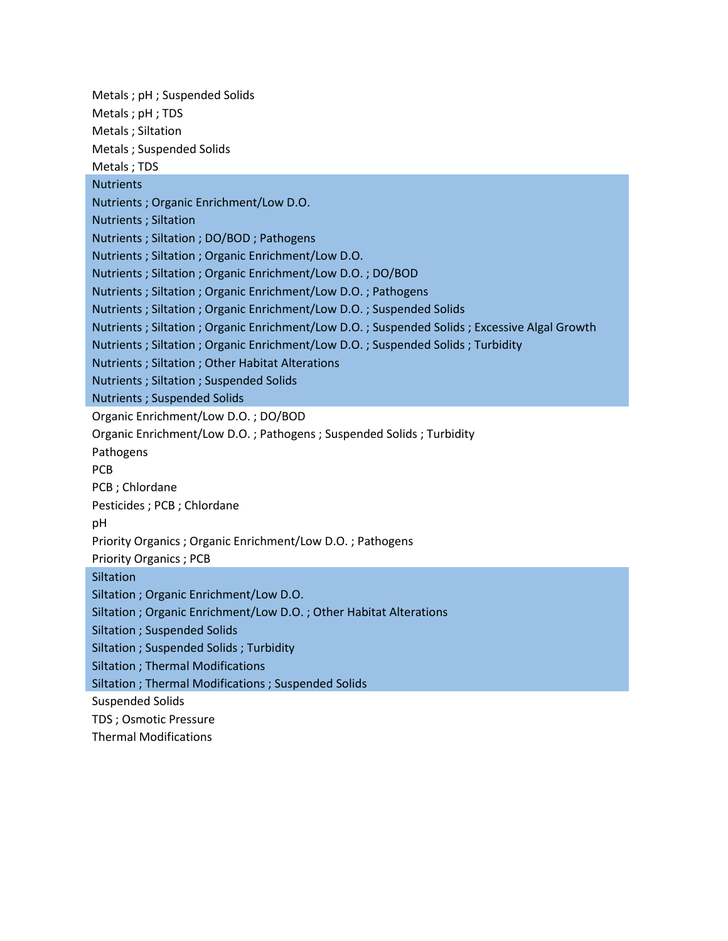Metals ; pH ; Suspended Solids Metals ; pH ; TDS Metals ; Siltation Metals ; Suspended Solids Metals ; TDS **Nutrients** Nutrients ; Organic Enrichment/Low D.O. Nutrients ; Siltation Nutrients ; Siltation ; DO/BOD ; Pathogens Nutrients ; Siltation ; Organic Enrichment/Low D.O. Nutrients ; Siltation ; Organic Enrichment/Low D.O. ; DO/BOD Nutrients ; Siltation ; Organic Enrichment/Low D.O. ; Pathogens Nutrients ; Siltation ; Organic Enrichment/Low D.O. ; Suspended Solids Nutrients ; Siltation ; Organic Enrichment/Low D.O. ; Suspended Solids ; Excessive Algal Growth Nutrients ; Siltation ; Organic Enrichment/Low D.O. ; Suspended Solids ; Turbidity Nutrients ; Siltation ; Other Habitat Alterations Nutrients ; Siltation ; Suspended Solids Nutrients ; Suspended Solids Organic Enrichment/Low D.O. ; DO/BOD Organic Enrichment/Low D.O. ; Pathogens ; Suspended Solids ; Turbidity Pathogens PCB PCB ; Chlordane Pesticides ; PCB ; Chlordane pH Priority Organics ; Organic Enrichment/Low D.O. ; Pathogens Priority Organics ; PCB **Siltation** Siltation ; Organic Enrichment/Low D.O. Siltation ; Organic Enrichment/Low D.O. ; Other Habitat Alterations Siltation ; Suspended Solids Siltation ; Suspended Solids ; Turbidity Siltation ; Thermal Modifications Siltation ; Thermal Modifications ; Suspended Solids Suspended Solids TDS ; Osmotic Pressure Thermal Modifications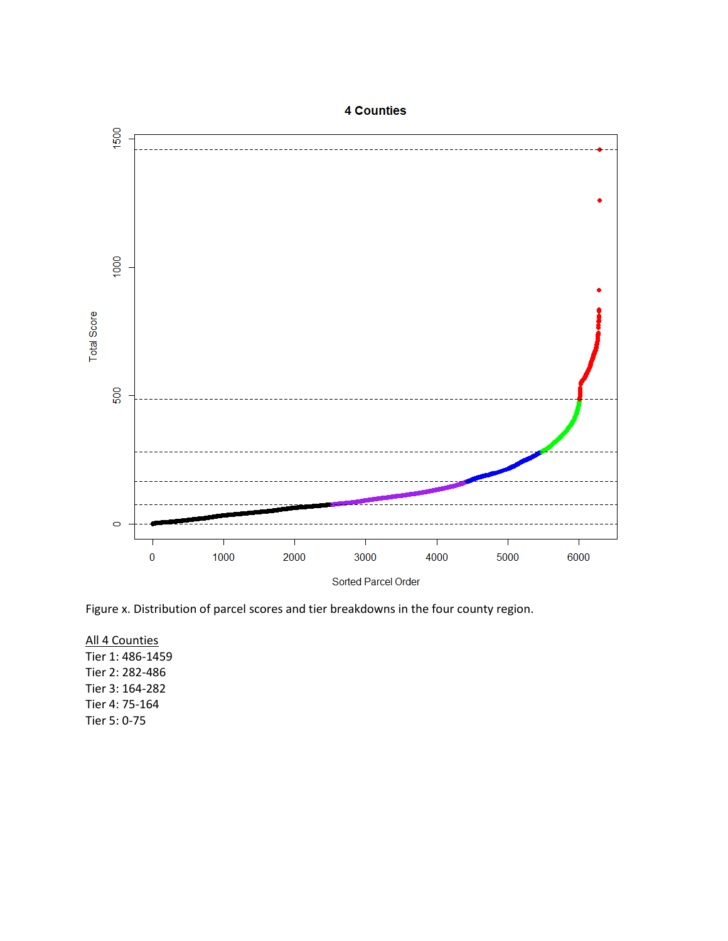#### **4 Counties**



Figure x. Distribution of parcel scores and tier breakdowns in the four county region.

All 4 Counties Tier 1: 486-1459 Tier 2: 282-486 Tier 3: 164-282 Tier 4: 75-164 Tier 5: 0-75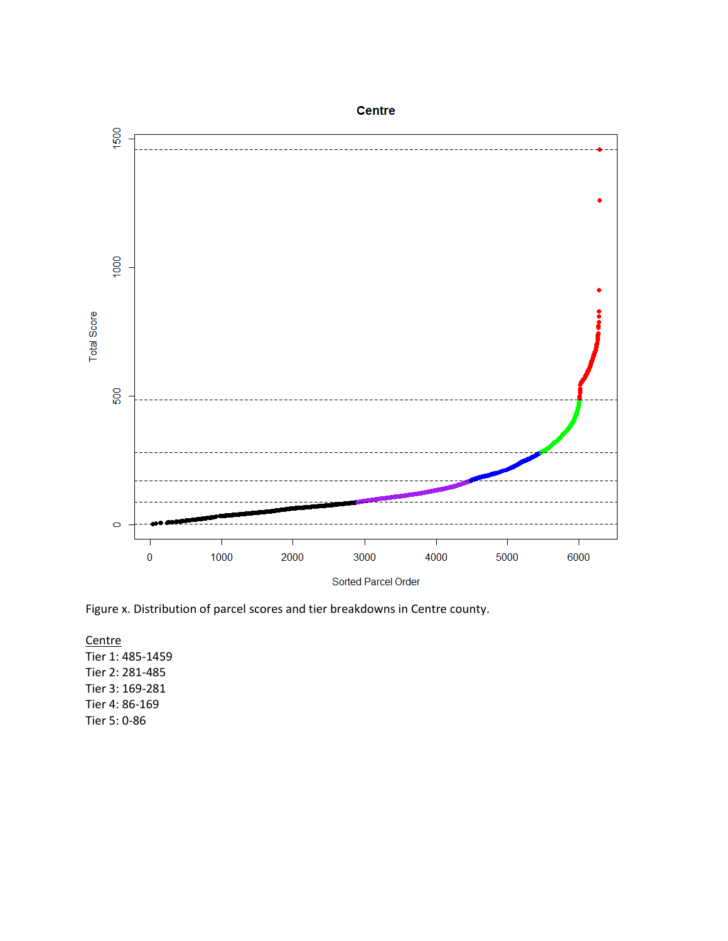

Figure x. Distribution of parcel scores and tier breakdowns in Centre county.

**Centre** Tier 1: 485-1459 Tier 2: 281-485 Tier 3: 169-281 Tier 4: 86-169 Tier 5: 0-86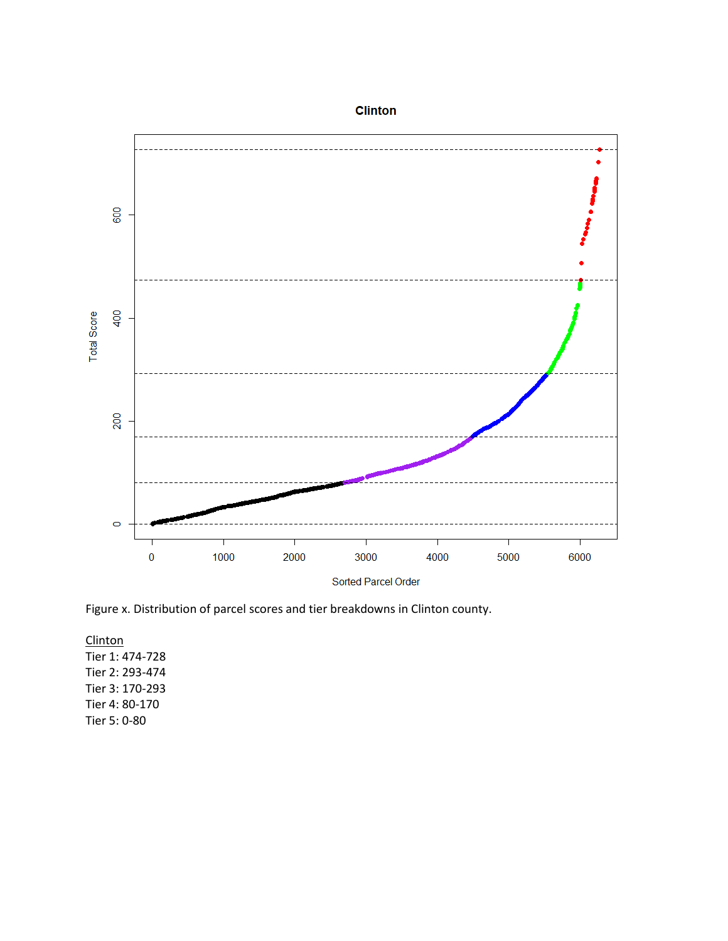

Figure x. Distribution of parcel scores and tier breakdowns in Clinton county.

**Clinton** Tier 1: 474-728 Tier 2: 293-474 Tier 3: 170-293 Tier 4: 80-170 Tier 5: 0-80

**Clinton**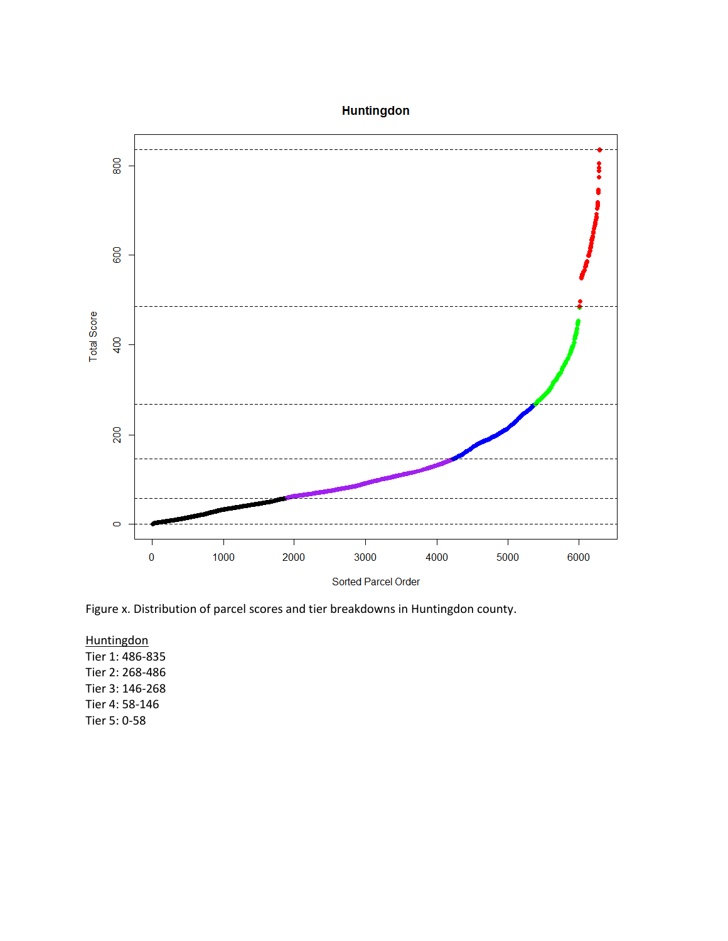### **Huntingdon**



Figure x. Distribution of parcel scores and tier breakdowns in Huntingdon county.

**Huntingdon** Tier 1: 486-835 Tier 2: 268-486 Tier 3: 146-268 Tier 4: 58-146 Tier 5: 0-58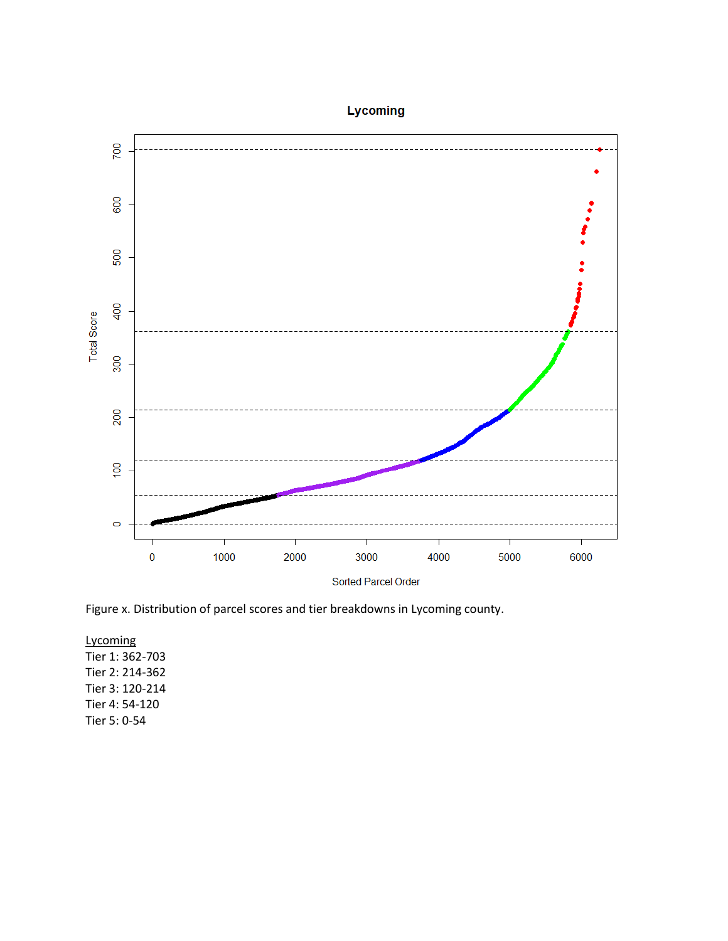

Figure x. Distribution of parcel scores and tier breakdowns in Lycoming county.

Lycoming Tier 1: 362-703 Tier 2: 214-362 Tier 3: 120-214 Tier 4: 54-120 Tier 5: 0-54

### Lycoming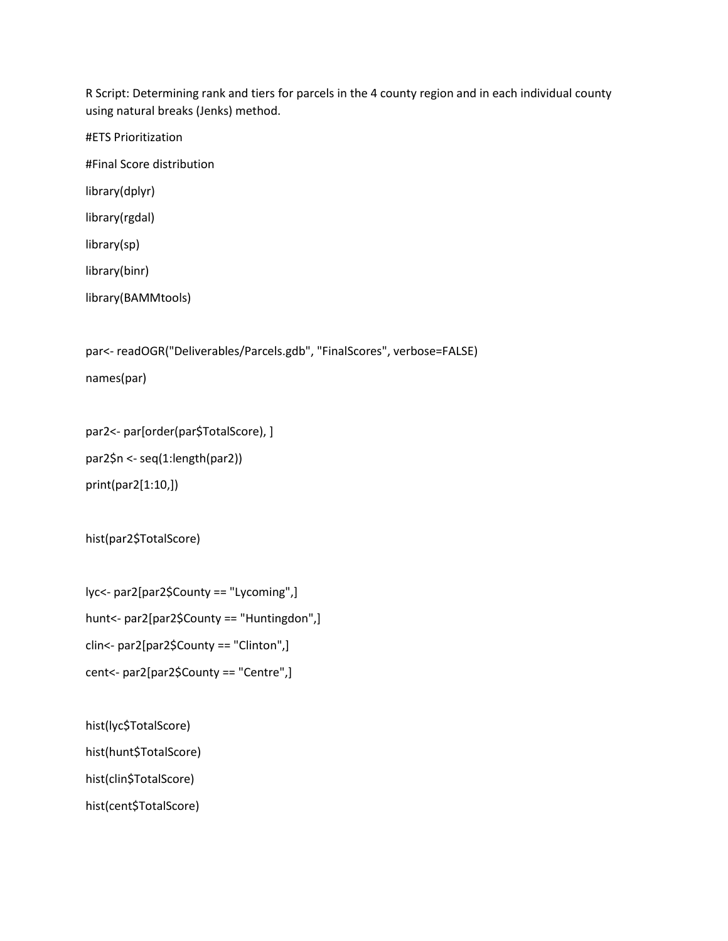R Script: Determining rank and tiers for parcels in the 4 county region and in each individual county using natural breaks (Jenks) method.

#ETS Prioritization #Final Score distribution library(dplyr) library(rgdal) library(sp) library(binr) library(BAMMtools)

par<- readOGR("Deliverables/Parcels.gdb", "FinalScores", verbose=FALSE)

names(par)

```
par2<- par[order(par$TotalScore), ]
par2$n <- seq(1:length(par2))
```
print(par2[1:10,])

hist(par2\$TotalScore)

```
lyc<- par2[par2$County == "Lycoming",]
hunt<- par2[par2$County == "Huntingdon",]
clin<- par2[par2$County == "Clinton",]
cent<- par2[par2$County == "Centre",]
```
hist(lyc\$TotalScore) hist(hunt\$TotalScore) hist(clin\$TotalScore) hist(cent\$TotalScore)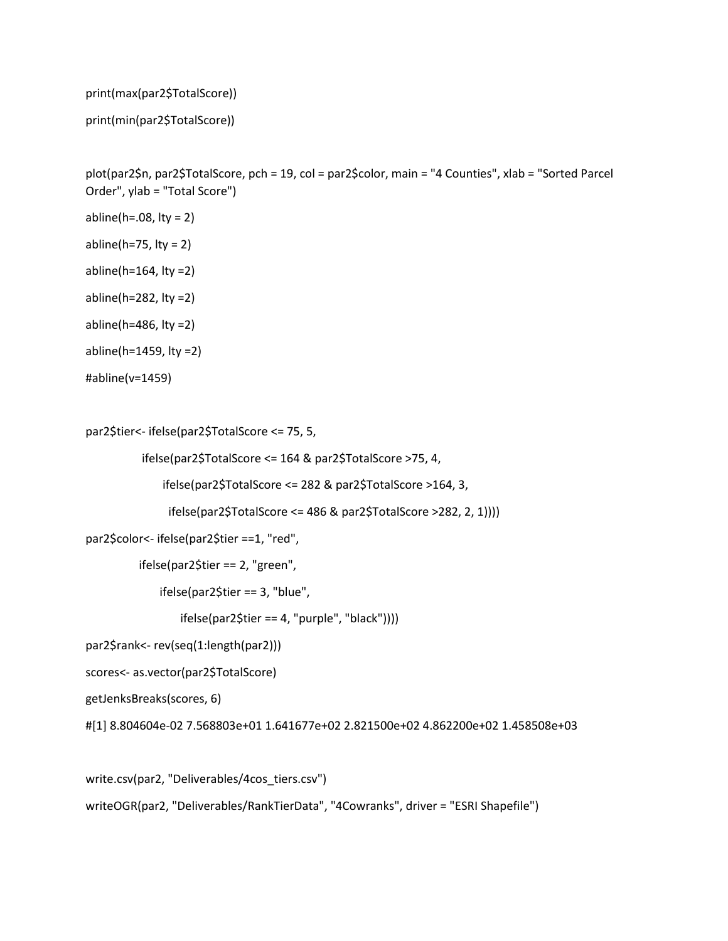print(max(par2\$TotalScore))

print(min(par2\$TotalScore))

plot(par2\$n, par2\$TotalScore, pch = 19, col = par2\$color, main = "4 Counties", xlab = "Sorted Parcel Order", ylab = "Total Score")

abline(h= $.08$ , lty = 2)

abline( $h=75$ ,  $lty = 2$ )

abline(h= $164$ , lty = $2$ )

abline( $h=282$ , lty =2)

abline(h=486,  $lty = 2$ )

abline(h=1459, lty =2)

#abline(v=1459)

par2\$tier<- ifelse(par2\$TotalScore <= 75, 5,

ifelse(par2\$TotalScore <= 164 & par2\$TotalScore >75, 4,

ifelse(par2\$TotalScore <= 282 & par2\$TotalScore >164, 3,

ifelse(par2\$TotalScore <= 486 & par2\$TotalScore >282, 2, 1))))

par2\$color<- ifelse(par2\$tier ==1, "red",

ifelse(par2\$tier == 2, "green",

ifelse(par2\$tier == 3, "blue",

ifelse(par2\$tier == 4, "purple", "black"))))

par2\$rank<- rev(seq(1:length(par2)))

```
scores<- as.vector(par2$TotalScore)
```
getJenksBreaks(scores, 6)

#[1] 8.804604e-02 7.568803e+01 1.641677e+02 2.821500e+02 4.862200e+02 1.458508e+03

write.csv(par2, "Deliverables/4cos\_tiers.csv")

writeOGR(par2, "Deliverables/RankTierData", "4Cowranks", driver = "ESRI Shapefile")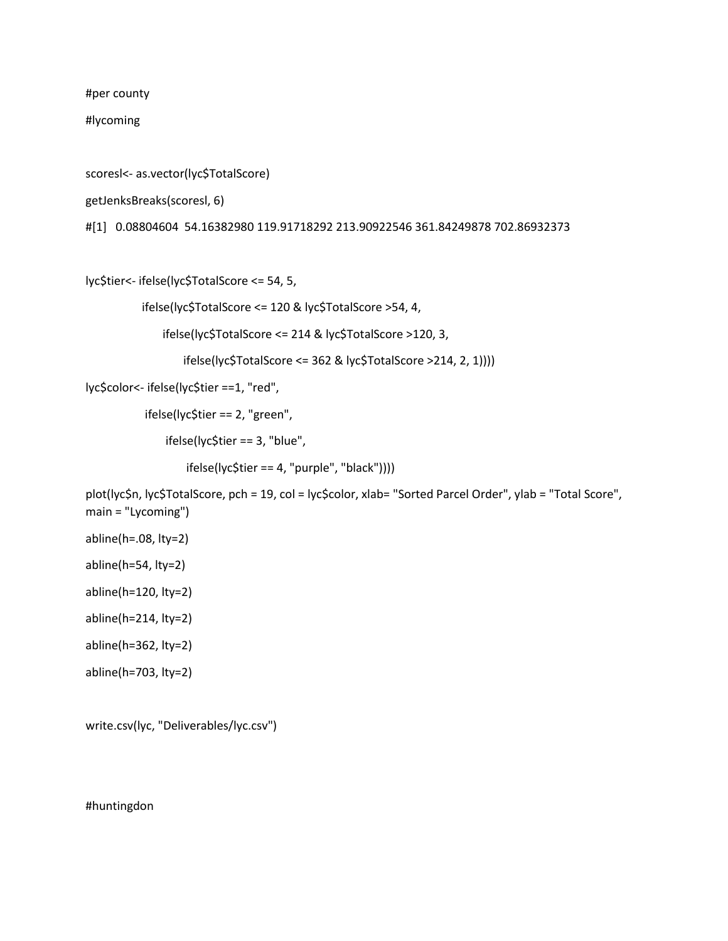#per county

#lycoming

```
scoresl<- as.vector(lyc$TotalScore)
```
getJenksBreaks(scoresl, 6)

#[1] 0.08804604 54.16382980 119.91718292 213.90922546 361.84249878 702.86932373

lyc\$tier<- ifelse(lyc\$TotalScore <= 54, 5,

ifelse(lyc\$TotalScore <= 120 & lyc\$TotalScore >54, 4,

ifelse(lyc\$TotalScore <= 214 & lyc\$TotalScore >120, 3,

ifelse(lyc\$TotalScore <= 362 & lyc\$TotalScore >214, 2, 1))))

lyc\$color<- ifelse(lyc\$tier ==1, "red",

ifelse(lyc\$tier == 2, "green",

ifelse(lyc\$tier == 3, "blue",

ifelse(lyc\$tier == 4, "purple", "black"))))

plot(lyc\$n, lyc\$TotalScore, pch = 19, col = lyc\$color, xlab= "Sorted Parcel Order", ylab = "Total Score", main = "Lycoming")

abline(h=.08, lty=2)

abline(h=54, lty=2)

abline(h=120, lty=2)

abline(h=214, lty=2)

abline(h=362, lty=2)

```
abline(h=703, lty=2)
```
write.csv(lyc, "Deliverables/lyc.csv")

#huntingdon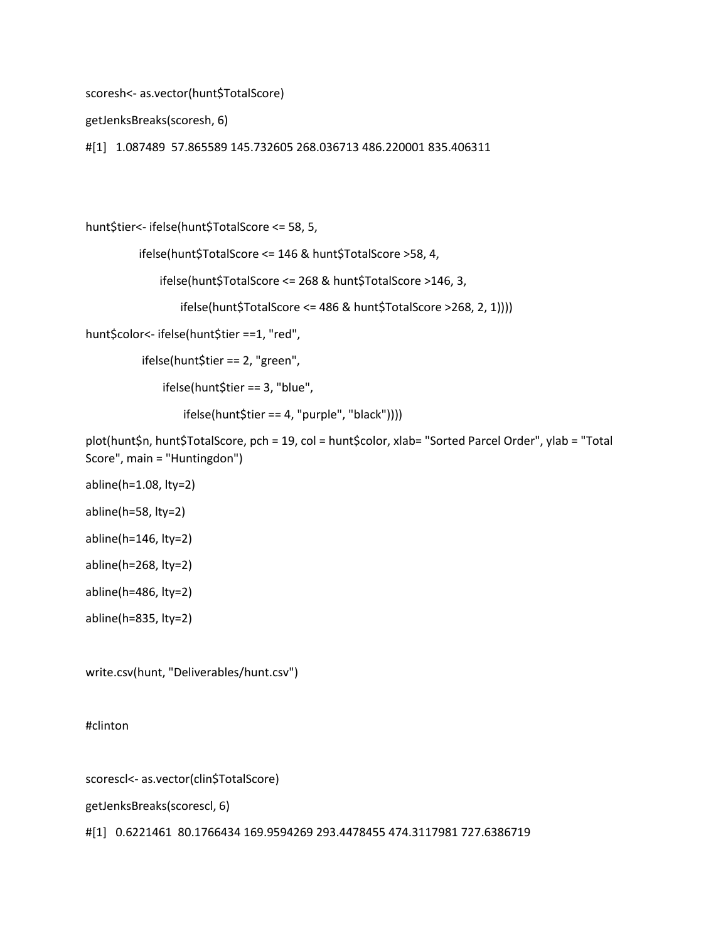scoresh<- as.vector(hunt\$TotalScore)

getJenksBreaks(scoresh, 6)

#[1] 1.087489 57.865589 145.732605 268.036713 486.220001 835.406311

hunt\$tier<- ifelse(hunt\$TotalScore <= 58, 5,

ifelse(hunt\$TotalScore <= 146 & hunt\$TotalScore >58, 4,

ifelse(hunt\$TotalScore <= 268 & hunt\$TotalScore >146, 3,

ifelse(hunt\$TotalScore <= 486 & hunt\$TotalScore >268, 2, 1))))

hunt\$color<- ifelse(hunt\$tier ==1, "red",

ifelse(hunt\$tier == 2, "green",

ifelse(hunt\$tier == 3, "blue",

ifelse(hunt\$tier == 4, "purple", "black"))))

plot(hunt\$n, hunt\$TotalScore, pch = 19, col = hunt\$color, xlab= "Sorted Parcel Order", ylab = "Total Score", main = "Huntingdon")

abline(h=1.08, lty=2)

abline(h=58, lty=2)

abline(h=146, lty=2)

abline(h=268, lty=2)

abline(h=486, lty=2)

abline(h=835, lty=2)

write.csv(hunt, "Deliverables/hunt.csv")

#clinton

scorescl<- as.vector(clin\$TotalScore)

getJenksBreaks(scorescl, 6)

#[1] 0.6221461 80.1766434 169.9594269 293.4478455 474.3117981 727.6386719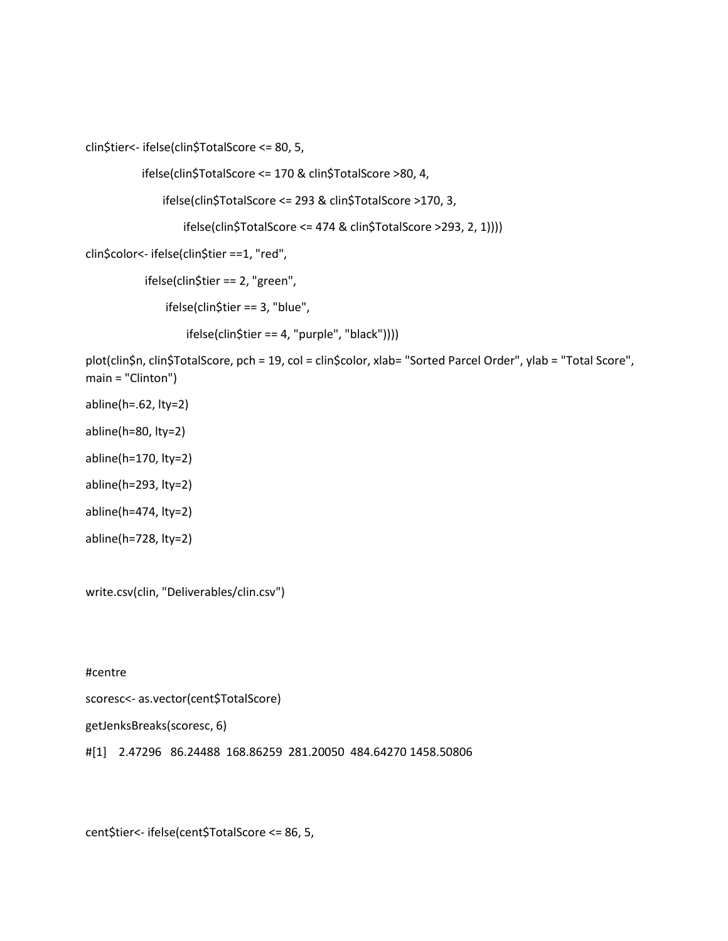clin\$tier<- ifelse(clin\$TotalScore <= 80, 5,

```
 ifelse(clin$TotalScore <= 170 & clin$TotalScore >80, 4,
```

```
 ifelse(clin$TotalScore <= 293 & clin$TotalScore >170, 3,
```
ifelse(clin\$TotalScore <= 474 & clin\$TotalScore >293, 2, 1))))

```
clin$color<- ifelse(clin$tier ==1, "red",
```

```
 ifelse(clin$tier == 2, "green",
```
ifelse(clin\$tier == 3, "blue",

```
 ifelse(clin$tier == 4, "purple", "black"))))
```

```
plot(clin$n, clin$TotalScore, pch = 19, col = clin$color, xlab= "Sorted Parcel Order", ylab = "Total Score", 
main = "Clinton")
```
abline(h=.62, lty=2)

- abline(h=80, lty=2)
- abline(h=170, lty=2)
- abline(h=293, lty=2)
- abline(h=474, lty=2)
- abline(h=728, lty=2)

write.csv(clin, "Deliverables/clin.csv")

#centre

```
scoresc<- as.vector(cent$TotalScore)
```
getJenksBreaks(scoresc, 6)

#[1] 2.47296 86.24488 168.86259 281.20050 484.64270 1458.50806

cent\$tier<- ifelse(cent\$TotalScore <= 86, 5,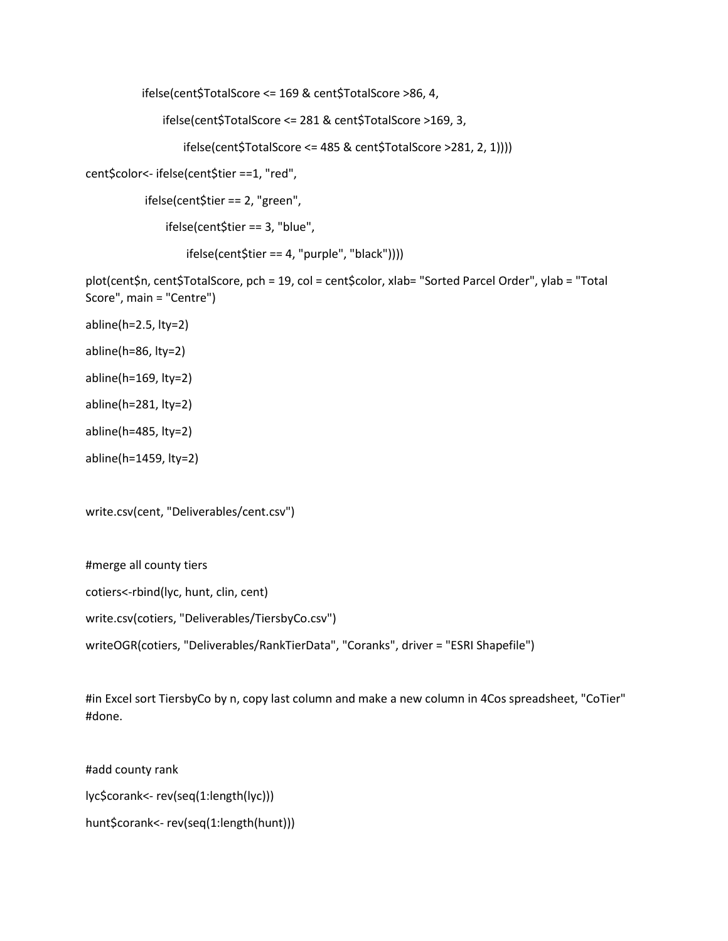ifelse(cent\$TotalScore <= 169 & cent\$TotalScore >86, 4,

ifelse(cent\$TotalScore <= 281 & cent\$TotalScore >169, 3,

ifelse(cent\$TotalScore <= 485 & cent\$TotalScore >281, 2, 1))))

cent\$color<- ifelse(cent\$tier ==1, "red",

ifelse(cent\$tier == 2, "green",

ifelse(cent\$tier == 3, "blue",

ifelse(cent\$tier == 4, "purple", "black"))))

plot(cent\$n, cent\$TotalScore, pch = 19, col = cent\$color, xlab= "Sorted Parcel Order", ylab = "Total Score", main = "Centre")

abline(h=2.5, lty=2)

abline(h=86, lty=2)

abline(h=169, lty=2)

abline(h=281, lty=2)

abline(h=485, lty=2)

abline(h=1459, lty=2)

write.csv(cent, "Deliverables/cent.csv")

#merge all county tiers

cotiers<-rbind(lyc, hunt, clin, cent)

write.csv(cotiers, "Deliverables/TiersbyCo.csv")

writeOGR(cotiers, "Deliverables/RankTierData", "Coranks", driver = "ESRI Shapefile")

#in Excel sort TiersbyCo by n, copy last column and make a new column in 4Cos spreadsheet, "CoTier" #done.

#add county rank lyc\$corank<- rev(seq(1:length(lyc))) hunt\$corank<- rev(seq(1:length(hunt)))